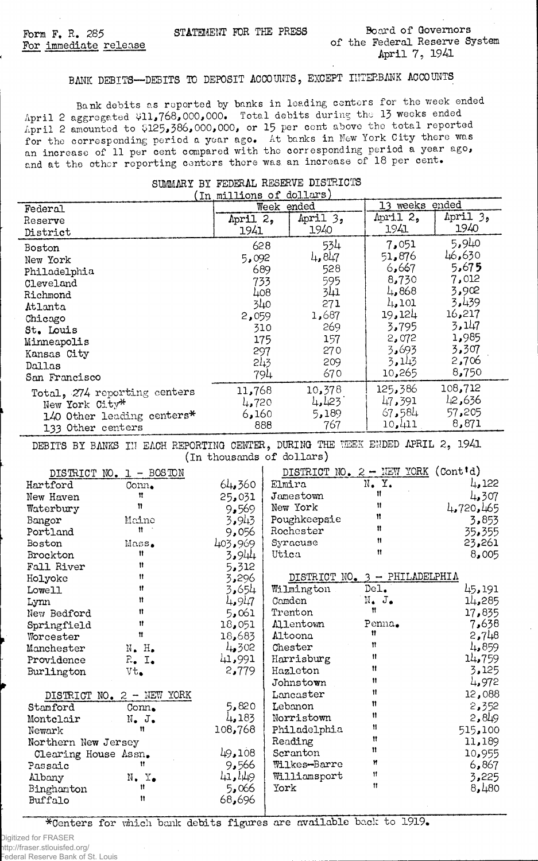## **BANK DEBITS— DEBITS TO DEPOSIT ACCOUNTS, EXCEPT INTERBANK ACCOUNTS**

Bank debits as reported by banks in leading centers for the week ended **April 2 aggregated vll,768,000,000» Total debits during the 13 weeks ended April 2 amounted to vil25, 386, 000,000, or 15 per cent above the total reported for the corresponding period a year ago\* At banks in New York City there was an increase of 11 per cent compared with the corresponding period a year ago,** and at the other reporting centers there was an increase of 18 per cent.

| (In millions of dollars)     |            |          |                |          |  |
|------------------------------|------------|----------|----------------|----------|--|
| Federal                      | Week ended |          | 13 weeks ended |          |  |
| Reserve                      | April 2,   | April 3, | April 2,       | April 3, |  |
| District                     | 1941       | 1940     | 1941           | 1940     |  |
| Boston                       | 628        | 534      | 7,051          | 5,940    |  |
| New York                     | 5,092      | 4,847    | 51,876         | 46,630   |  |
|                              | 689        | 528      | 6,667          | 5,675    |  |
| Philadelphia<br>Cleveland    | 733        | 595      | 8,730          | 7,012    |  |
|                              | 408        | 341      | 4,868          | 3,902    |  |
| Richmond                     | 340        | 271      | 4.101          | 3,439    |  |
| Atlanta                      | 2,059      | 1,687    | 19,124         | 16,217   |  |
| Chicago                      | 310        | 269      | 3,795          | 3,147    |  |
| St. Louis                    | 175        | 157      | 2,072          | 1,985    |  |
| Minneapolis                  | 297        | 270      | 3,693          | 3,307    |  |
| Kansas City                  | 21.3       | 209      | 3,143          | 2,706    |  |
| Dallas                       |            | 670      | 10,265         | 8,750    |  |
| San Francisco                | 794        |          |                |          |  |
| Total, 274 reporting centers | 11,768     | 10,378   | 125,386        | 108,712  |  |
| New York City*               | 4,720      | 4,123    | 47,391         | 12,636   |  |
| 140 Other leading centers*   | 6,160      | 5,189    | 67,584         | 57,205   |  |
| 133 Other centers            | 888        | 767      | 10,411         | 8,871    |  |
|                              |            |          |                |          |  |

## **SUMMARY BY FEDERAL RESERVE DISTRICTS**

**DEBITS BY BANKS III EACH REPORTING CENTER, DURING THE WEEK ENDED APRIL 2, 1941 (in thousands of dollars)**

| DISTRICT NO. 1 - BOSTON |                             |         | DISTRICT NO. $2$ - NEW YORK (Cont'd) |                                 |           |
|-------------------------|-----------------------------|---------|--------------------------------------|---------------------------------|-----------|
| Hartford                | $Conn_{\bullet}$            | 64,360  | Elmira                               | N. Y.                           | 4,122     |
| New Haven               | 11                          | 25,031  | Jamestown                            | Ħ                               | 4,307     |
| Waterbury               | 11                          | 9,569   | New York                             | 11                              | 4,720,465 |
| Bangor                  | Maine                       | 3,943   | Poughkeepsie                         | 11                              | 3,853     |
| Portland                | Ħ                           | 9,056   | Rochester                            | $\mathbf{H}$                    | 35,355    |
| Boston                  | Mass.                       | 403,969 | Syracuse                             | $\mathbf{u}$                    | 23,261    |
| Brockton                | Ħ                           | 3,944   | Utica                                | $\mathbf{H}$                    | 8,005     |
| Fall River              | Ħ                           | 5,312   |                                      |                                 |           |
| Holyoke                 | $\mathbf{H}$                | 3,296   |                                      | DISTRICT NO. $3$ - PHILADELPHIA |           |
| Lowell                  | 11                          | 3,654   | Wilmington                           | Del <sub>•</sub>                | 45, 191   |
| Lynn                    | Ħ                           | 4,947   | Camden                               | $N_{\bullet}$ $J_{\bullet}$     | 14,285    |
| New Bedford             | Ħ                           | 5,061   | Trenton                              | $\mathbf{u}$                    | 17,835    |
| Springfield             | Ħ                           | 18,051  | <b>Allentown</b>                     | Penna.                          | 7,638     |
| Worcester               | 11                          | 18,683  | Altoona                              | 11                              | 2,748     |
| Manchester              | $N_{\bullet}$ $H_{\bullet}$ | 4,302   | Chester                              | Ħ                               | 4,859     |
| Providence              | $R_{\bullet}$ $I_{\bullet}$ | 41,991  | Harrisburg                           | 11                              | 14,759    |
| Burlington              | $Vt_{\bullet}$              | 2,779   | Hazleton                             | 11                              | 3,125     |
|                         |                             |         | Johnstown                            | Ħ                               | 4,972     |
|                         | DISTRICT NO. 2 - NEW YORK   |         | Lancaster                            | Ħ                               | 12,088    |
| Stanford                | $Com_{\bullet}$             | 5,820   | Lebanon                              | Ħ                               | 2,352     |
| Montclair               | $N_{\bullet}$ J.            | 4,183   | Norristown                           | Ħ                               | 2,849     |
| Newark                  | Ħ                           | 108,768 | Philadelphia                         | Ħ                               | 515,100   |
| Northern New Jersey     |                             |         | Reading                              | n                               | 11,189    |
| Clearing House Assn.    |                             | 49,108  | Scranton                             | n                               | 10,955    |
| Passaic                 | Ħ                           | 9,566   | Wilkes-Barre                         | Ħ                               | 6,867     |
| Albany                  | $N$ . $Y_{\bullet}$         | 41,449  | Williamsport                         | $\mathbf{H}$                    | 3,225     |
| Binghamton              | Ħ                           | 5,066   | York                                 | $\mathbf{H}$                    | 8,480     |
| Buffalo                 | Ħ                           | 68,696  |                                      |                                 |           |

**\*Centers for which bank debits figures are available back to 1919\***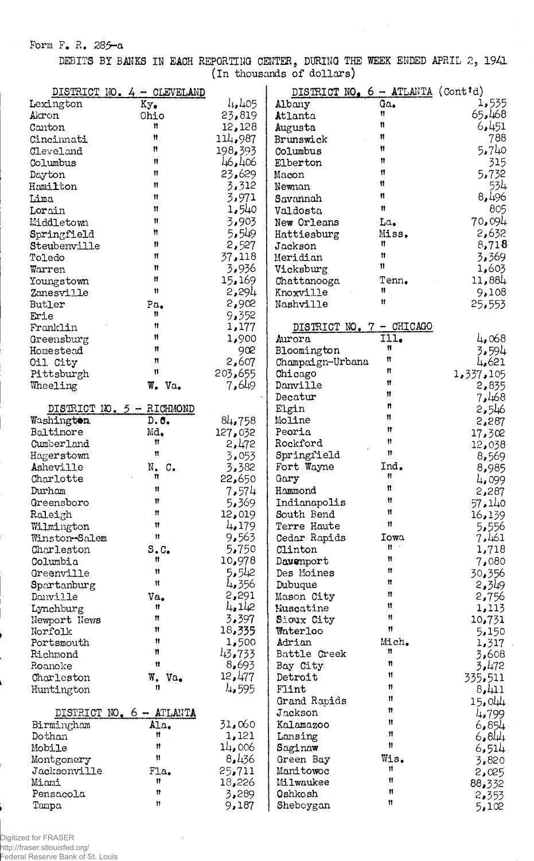Form F. R. 285-a

DEBITS BY BANKS IN EACH REPORTING CENTER, DURING THE WEEK ENDED APRIL 2, 1941 (In thousands of dollars)

|                           | DISTRICT NO. 4 - CLEVELAND |                   | DISTRICT NO. $6 - \text{ATLANTA}$ (Cont'd) |              |                |
|---------------------------|----------------------------|-------------------|--------------------------------------------|--------------|----------------|
| Lexington                 | Ky.                        | $l_{+}, l_{+}$ 05 | Albany                                     | Ga.          | 1,535          |
| Akron                     | Ohio                       | 23,819            | Atlanta                                    | Ħ            | 65,468         |
| Canton                    | Ħ                          | 12,128            | Augusta                                    | Ħ            | 6,451          |
| Cincinnati                | Ħ                          | 114,987           | Brunswick                                  | 11           | 788            |
| Cleveland                 | Ħ                          | 198,393           | Columbus                                   | Ħ            | 5,740          |
| Columbus                  | Ħ                          | 46,406            | Elberton                                   | Ħ            | 315            |
| Dayton                    | $^{\dagger}$               | 23,629            | Macon                                      | Ħ            | 5,732          |
| Hamilton                  | Ħ                          | 3,312             | Newnan                                     | Ħ            | 534            |
| Lima                      | Ħ                          | 3,971             | Savannah                                   | Ħ            | 8,496          |
| Lorain                    | $\mathbf{H}$               | 1,540             | Valdosta                                   | Ħ            | 805            |
| Middletown                | Ħ                          | 3,903             | New Orleans                                | La.          | 70,094         |
| Springfield               | Ħ                          | 5,549             | Hattiesburg                                | Miss.        | 2,632          |
| Steubenville              | Ħ                          | 2,527             | Jackson                                    | Ħ            | 8,718          |
| Toledo                    | 11                         | 37,118            | Meridian                                   | $\mathbf{u}$ | 3,369          |
| Warren                    | Ħ                          | 3,936             | Vicksburg                                  | Ħ            | 1,603          |
| Youngstown                | Ħ                          | 15, 169           | Chattanooga                                | Tenn.        | 11,884         |
| Zanesville                | 11                         | 2,294             | Knoxville                                  | 11           | 9,108          |
| Butler                    | Pa.                        | 2,902             | Nashville                                  | Ħ            | 25,553         |
| Erie                      | Ħ                          | 9,352             |                                            |              |                |
| Franklin                  | Ħ                          | 1,177             | DISTRICT NO. 7 - CHICAGO                   |              |                |
| Greensburg                | 11                         | 1,900             | Aurora                                     | III.         | 4,068          |
|                           | Ħ                          | 902               | Bloomington                                | Ħ            |                |
| Homestead                 | Ħ                          | 2,607             |                                            | Ħ            | 3,594<br>4,621 |
| Oil City                  | 11                         |                   | Champaign-Urbana                           | Ħ            |                |
| Pittsburgh                |                            | 203.655           | Chicago<br>Danville                        | Ħ            | 1,337,105      |
| Wheeling                  | W.<br>Va.                  | 7,649             |                                            | n            | 2,835          |
|                           |                            |                   | Decatur                                    | Ħ            | 7,468          |
| DISTRICT NO. 5 - RICHMOND |                            |                   | Elgin                                      | Ħ            | 2,546          |
| Washington                | D.6.                       | 84,758            | Moline                                     | $\mathbf{r}$ | 2,287          |
| Baltimore                 | Md.<br>11                  | 127,032           | Peoria                                     | 11           | 17,302         |
| Cumberland                | 11                         | 2,472             | Rockford                                   | $\mathbf n$  | 12,038         |
| Hagerstown                |                            | 3,053             | Springfield                                |              | 8,569          |
| Asheville                 | N.<br>$\mathbf{C}$ .<br>n  | 3,382             | Fort Wayne                                 | Ind.<br>Ħ    | 8,985          |
| Charlotte                 |                            | 22,650            | Gary                                       | Ħ            | 4,099          |
| Durham                    | Ħ                          | 7,574             | Hammond                                    | $^{\dagger}$ | 2,287          |
| Greensboro                | Ħ                          | 5,369             | Indianapolis                               |              | 57.140         |
| $Ra$ lei $gh$             | Ħ                          | 12,019            | South Bend                                 | Ħ            | 16,139         |
| Wilmington                | Ħ                          | 4.179             | Terre Haute                                | $^{\bullet}$ | 5,556          |
| Winston-Salem             | $\mathbf{H}$               | 9,563             | Cedar Rapids                               | Iowa         | 7,461          |
| Charleston                | S.C.                       | 5,750             | Clinton                                    | $\mathbf{H}$ | 1,718          |
| Columbia                  | Ħ                          | 10,978            | Davenport                                  | Ħ            | 7,080          |
| Greenville                | Ħ                          | 5,542             | Des Moines                                 | Ħ            | 30,356         |
| Spartanburg               | $\pmb{\mathfrak{N}}$       | 4,356             | Dubuque                                    | Ħ            | 2,349          |
| Danville                  | Va.                        | 2,291             | Mason City                                 | Ħ            | 2,756          |
| Lynchburg                 | 11                         | 4.142             | Nuscatine                                  | $\mathbf{H}$ | 1,113          |
| Newport News              | Ħ                          | 3,397             | Sioux City                                 | Ħ            | 10,731         |
| Norfolk                   | Ħ                          | 18,335            | Waterloo                                   | $\mathbf r$  | 5,150          |
| Portsmouth                | Ħ                          | 1,500             | Adrian                                     | Mich.        | 1,317          |
| Richmond                  | n                          | 43,733            | Battle Creek                               | Ħ            | 3,608          |
| Roanoke                   | $\mathfrak n$              | 8,693             | Bay City                                   | Ħ            | 3,472          |
| Charleston                | W.<br>Va.                  | 12,477            | Detroit                                    | 11           | 335,511        |
| Huntington                | 11                         | 4,595             | Flint                                      | 11           | 8,411          |
|                           |                            |                   | Grand Rapids                               | Ħ            | 15.044         |
|                           | DISTRICT NO. 6 - ATLANTA   |                   | Jackson                                    | 11           | 4,799          |
| Birmingham                | Ala.                       | 31,060            | Kalamazoo                                  | Ħ            | 6,854          |
| Dothan                    | Ħ                          | 1,121             | Lansing                                    | Ħ            | 6,844          |
| Mobile                    | Ħ                          | 14,006            | Saginaw                                    | Ħ            | 6,514          |
| Montgomery                | Ħ                          | 8,436             | Green Bay                                  | Wis.         | 3,820          |
| Jacksonville              | Fla.                       | 25,711            | Manitowoc                                  | Ħ            | 2,025          |
| Miami                     | Ħ                          | 18,226            | Milwaukee                                  | Ħ            | 88,332         |
| Pensacola                 | Ħ                          | 3,289             | Oshkosh                                    | Ħ            | 2,353          |
| Tampa                     | Ħ                          | 9,187             | Sheboygan                                  | n            | 5,102          |

Digitized for FRASER big................................<br>http://fraser.stlouisfed.org/<br>Federal Reserve Bank of St. Louis

 $\ddot{\phantom{0}}$